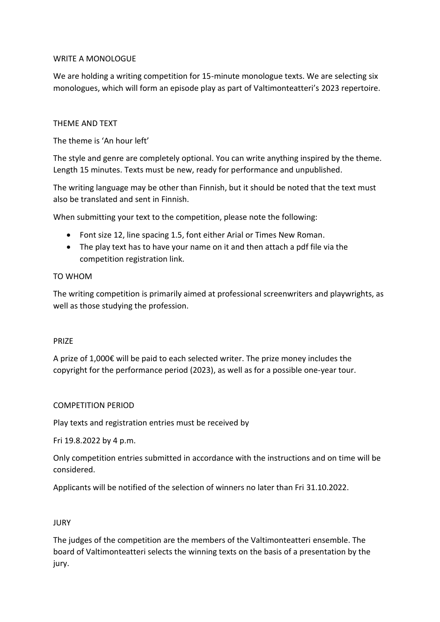# WRITE A MONOLOGUE

We are holding a writing competition for 15-minute monologue texts. We are selecting six monologues, which will form an episode play as part of Valtimonteatteri's 2023 repertoire.

### THEME AND TEXT

The theme is 'An hour left'

The style and genre are completely optional. You can write anything inspired by the theme. Length 15 minutes. Texts must be new, ready for performance and unpublished.

The writing language may be other than Finnish, but it should be noted that the text must also be translated and sent in Finnish.

When submitting your text to the competition, please note the following:

- Font size 12, line spacing 1.5, font either Arial or Times New Roman.
- The play text has to have your name on it and then attach a pdf file via the competition registration link.

#### TO WHOM

The writing competition is primarily aimed at professional screenwriters and playwrights, as well as those studying the profession.

#### PRIZE

A prize of 1,000€ will be paid to each selected writer. The prize money includes the copyright for the performance period (2023), as well as for a possible one-year tour.

#### COMPETITION PERIOD

Play texts and registration entries must be received by

Fri 19.8.2022 by 4 p.m.

Only competition entries submitted in accordance with the instructions and on time will be considered.

Applicants will be notified of the selection of winners no later than Fri 31.10.2022.

#### **JURY**

The judges of the competition are the members of the Valtimonteatteri ensemble. The board of Valtimonteatteri selects the winning texts on the basis of a presentation by the jury.